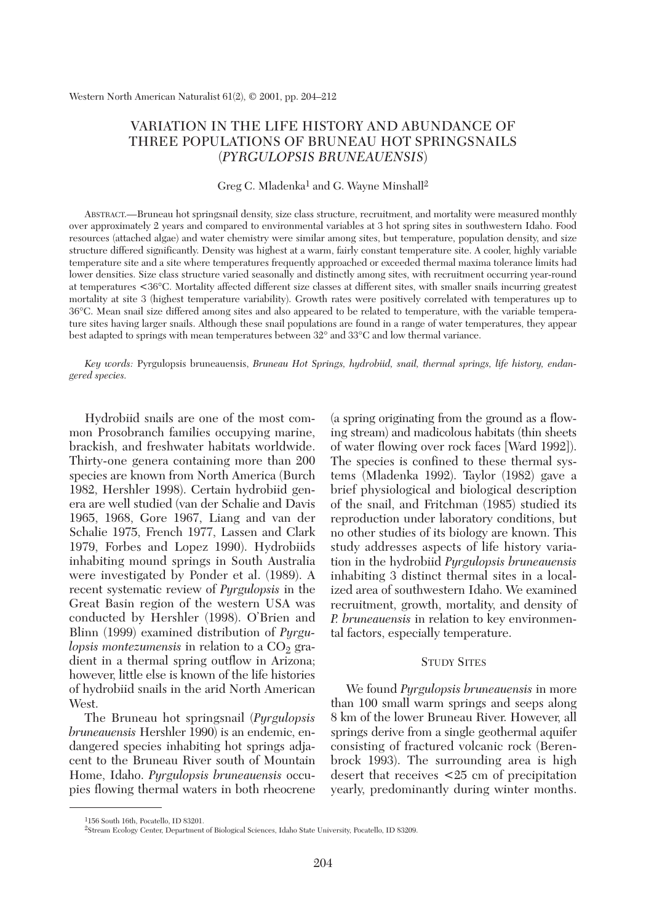# VARIATION IN THE LIFE HISTORY AND ABUNDANCE OF THREE POPULATIONS OF BRUNEAU HOT SPRINGSNAILS (*PYRGULOPSIS BRUNEAUENSIS*)

### Greg C. Mladenka<sup>1</sup> and G. Wayne Minshall<sup>2</sup>

ABSTRACT.—Bruneau hot springsnail density, size class structure, recruitment, and mortality were measured monthly over approximately 2 years and compared to environmental variables at 3 hot spring sites in southwestern Idaho. Food resources (attached algae) and water chemistry were similar among sites, but temperature, population density, and size structure differed significantly. Density was highest at a warm, fairly constant temperature site. A cooler, highly variable temperature site and a site where temperatures frequently approached or exceeded thermal maxima tolerance limits had lower densities. Size class structure varied seasonally and distinctly among sites, with recruitment occurring year-round at temperatures <36°C. Mortality affected different size classes at different sites, with smaller snails incurring greatest mortality at site 3 (highest temperature variability). Growth rates were positively correlated with temperatures up to 36°C. Mean snail size differed among sites and also appeared to be related to temperature, with the variable temperature sites having larger snails. Although these snail populations are found in a range of water temperatures, they appear best adapted to springs with mean temperatures between 32° and 33°C and low thermal variance.

*Key words:* Pyrgulopsis bruneauensis, *Bruneau Hot Springs, hydrobiid, snail, thermal springs, life history, endangered species.*

Hydrobiid snails are one of the most common Prosobranch families occupying marine, brackish, and freshwater habitats worldwide. Thirty-one genera containing more than 200 species are known from North America (Burch 1982, Hershler 1998). Certain hydrobiid genera are well studied (van der Schalie and Davis 1965, 1968, Gore 1967, Liang and van der Schalie 1975, French 1977, Lassen and Clark 1979, Forbes and Lopez 1990). Hydrobiids inhabiting mound springs in South Australia were investigated by Ponder et al. (1989). A recent systematic review of *Pyrgulopsis* in the Great Basin region of the western USA was conducted by Hershler (1998). O'Brien and Blinn (1999) examined distribution of *Pyrgulopsis montezumensis* in relation to a CO<sub>2</sub> gradient in a thermal spring outflow in Arizona; however, little else is known of the life histories of hydrobiid snails in the arid North American West.

The Bruneau hot springsnail (*Pyrgulopsis bruneauensis* Hershler 1990) is an endemic, endangered species inhabiting hot springs adjacent to the Bruneau River south of Mountain Home, Idaho. *Pyrgulopsis bruneauensis* occupies flowing thermal waters in both rheocrene

(a spring originating from the ground as a flowing stream) and madicolous habitats (thin sheets of water flowing over rock faces [Ward 1992]). The species is confined to these thermal systems (Mladenka 1992). Taylor (1982) gave a brief physiological and biological description of the snail, and Fritchman (1985) studied its reproduction under laboratory conditions, but no other studies of its biology are known. This study addresses aspects of life history variation in the hydrobiid *Pyrgulopsis bruneauensis* inhabiting 3 distinct thermal sites in a localized area of southwestern Idaho. We examined recruitment, growth, mortality, and density of *P. bruneauensis* in relation to key environmental factors, especially temperature.

# STUDY SITES

We found *Pyrgulopsis bruneauensis* in more than 100 small warm springs and seeps along 8 km of the lower Bruneau River. However, all springs derive from a single geothermal aquifer consisting of fractured volcanic rock (Berenbrock 1993). The surrounding area is high desert that receives <25 cm of precipitation yearly, predominantly during winter months.

<sup>1156</sup> South 16th, Pocatello, ID 83201.

<sup>2</sup>Stream Ecology Center, Department of Biological Sciences, Idaho State University, Pocatello, ID 83209.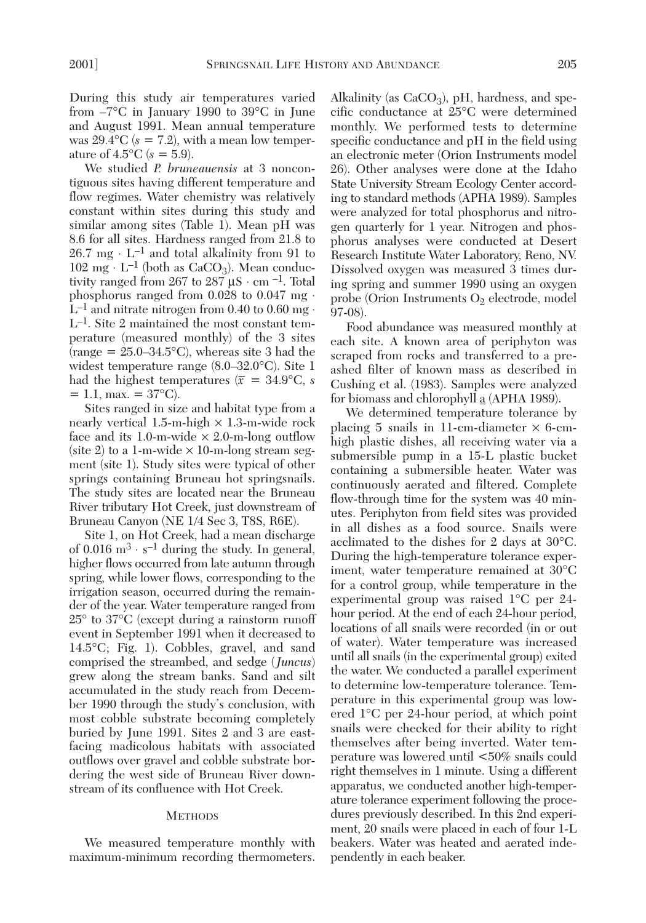During this study air temperatures varied from –7°C in January 1990 to 39°C in June and August 1991. Mean annual temperature was  $29.4$ °C ( $s = 7.2$ ), with a mean low temperature of  $4.5^{\circ}$ C ( $s = 5.9$ ).

We studied *P. bruneauensis* at 3 noncontiguous sites having different temperature and flow regimes. Water chemistry was relatively constant within sites during this study and similar among sites (Table 1). Mean pH was 8.6 for all sites. Hardness ranged from 21.8 to  $26.7 \text{ mg} \cdot L^{-1}$  and total alkalinity from 91 to  $102 \text{ mg} \cdot L^{-1}$  (both as CaCO<sub>3</sub>). Mean conductivity ranged from 267 to 287  $\mu$ S · cm <sup>-1</sup>. Total phosphorus ranged from  $0.028$  to  $0.047$  mg  $\cdot$  $L^{-1}$  and nitrate nitrogen from 0.40 to 0.60 mg  $\cdot$ L–1. Site 2 maintained the most constant temperature (measured monthly) of the 3 sites (range  $= 25.0 - 34.5$ °C), whereas site 3 had the widest temperature range (8.0–32.0°C). Site 1 had the highest temperatures ( $\bar{x}$  = 34.9°C, *s*  $= 1.1$ , max.  $= 37^{\circ}$ C).

Sites ranged in size and habitat type from a nearly vertical  $1.5$ -m-high  $\times$  1.3-m-wide rock face and its 1.0-m-wide  $\times$  2.0-m-long outflow (site 2) to a 1-m-wide  $\times$  10-m-long stream segment (site 1). Study sites were typical of other springs containing Bruneau hot springsnails. The study sites are located near the Bruneau River tributary Hot Creek, just downstream of Bruneau Canyon (NE 1/4 Sec 3, T8S, R6E).

Site 1, on Hot Creek, had a mean discharge of 0.016  $\mathrm{m}^{3} \cdot \mathrm{s}^{-1}$  during the study. In general, higher flows occurred from late autumn through spring, while lower flows, corresponding to the irrigation season, occurred during the remainder of the year. Water temperature ranged from 25° to 37°C (except during a rainstorm runoff event in September 1991 when it decreased to 14.5°C; Fig. 1). Cobbles, gravel, and sand comprised the streambed, and sedge (*Juncus*) grew along the stream banks. Sand and silt accumulated in the study reach from December 1990 through the study's conclusion, with most cobble substrate becoming completely buried by June 1991. Sites 2 and 3 are eastfacing madicolous habitats with associated outflows over gravel and cobble substrate bordering the west side of Bruneau River downstream of its confluence with Hot Creek.

## **METHODS**

We measured temperature monthly with maximum-minimum recording thermometers.

Alkalinity (as  $CaCO<sub>3</sub>$ ), pH, hardness, and specific conductance at 25°C were determined monthly. We performed tests to determine specific conductance and pH in the field using an electronic meter (Orion Instruments model 26). Other analyses were done at the Idaho State University Stream Ecology Center according to standard methods (APHA 1989). Samples were analyzed for total phosphorus and nitrogen quarterly for 1 year. Nitrogen and phosphorus analyses were conducted at Desert Research Institute Water Laboratory, Reno, NV. Dissolved oxygen was measured 3 times during spring and summer 1990 using an oxygen probe (Orion Instruments  $O_2$  electrode, model 97-08).

Food abundance was measured monthly at each site. A known area of periphyton was scraped from rocks and transferred to a preashed filter of known mass as described in Cushing et al. (1983). Samples were analyzed for biomass and chlorophyll a (APHA 1989).

We determined temperature tolerance by placing 5 snails in 11-cm-diameter  $\times$  6-cmhigh plastic dishes, all receiving water via a submersible pump in a 15-L plastic bucket containing a submersible heater. Water was continuously aerated and filtered. Complete flow-through time for the system was 40 minutes. Periphyton from field sites was provided in all dishes as a food source. Snails were acclimated to the dishes for 2 days at 30°C. During the high-temperature tolerance experiment, water temperature remained at 30°C for a control group, while temperature in the experimental group was raised 1°C per 24 hour period. At the end of each 24-hour period, locations of all snails were recorded (in or out of water). Water temperature was increased until all snails (in the experimental group) exited the water. We conducted a parallel experiment to determine low-temperature tolerance. Temperature in this experimental group was lowered 1°C per 24-hour period, at which point snails were checked for their ability to right themselves after being inverted. Water temperature was lowered until <50% snails could right themselves in 1 minute. Using a different apparatus, we conducted another high-temperature tolerance experiment following the procedures previously described. In this 2nd experiment, 20 snails were placed in each of four 1-L beakers. Water was heated and aerated independently in each beaker.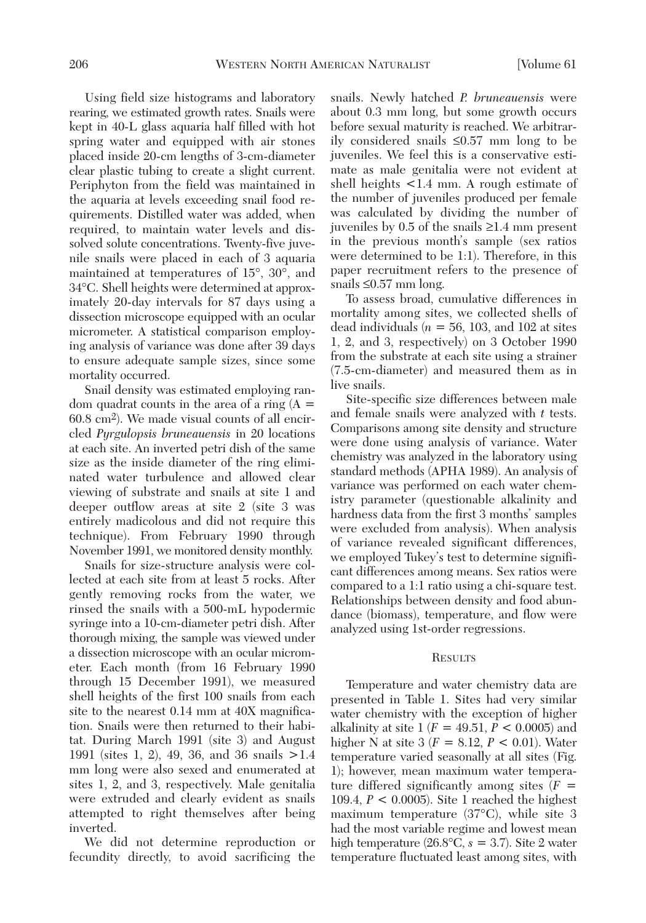Using field size histograms and laboratory rearing, we estimated growth rates. Snails were kept in 40-L glass aquaria half filled with hot spring water and equipped with air stones placed inside 20-cm lengths of 3-cm-diameter clear plastic tubing to create a slight current. Periphyton from the field was maintained in the aquaria at levels exceeding snail food requirements. Distilled water was added, when required, to maintain water levels and dissolved solute concentrations. Twenty-five juvenile snails were placed in each of 3 aquaria maintained at temperatures of 15°, 30°, and 34°C. Shell heights were determined at approximately 20-day intervals for 87 days using a dissection microscope equipped with an ocular micrometer. A statistical comparison employing analysis of variance was done after 39 days to ensure adequate sample sizes, since some mortality occurred.

Snail density was estimated employing random quadrat counts in the area of a ring  $(A =$ 60.8 cm2). We made visual counts of all encircled *Pyrgulopsis bruneauensis* in 20 locations at each site. An inverted petri dish of the same size as the inside diameter of the ring eliminated water turbulence and allowed clear viewing of substrate and snails at site 1 and deeper outflow areas at site 2 (site 3 was entirely madicolous and did not require this technique). From February 1990 through November 1991, we monitored density monthly.

Snails for size-structure analysis were collected at each site from at least 5 rocks. After gently removing rocks from the water, we rinsed the snails with a 500-mL hypodermic syringe into a 10-cm-diameter petri dish. After thorough mixing, the sample was viewed under a dissection microscope with an ocular micrometer. Each month (from 16 February 1990 through 15 December 1991), we measured shell heights of the first 100 snails from each site to the nearest 0.14 mm at 40X magnification. Snails were then returned to their habitat. During March 1991 (site 3) and August 1991 (sites 1, 2), 49, 36, and 36 snails >1.4 mm long were also sexed and enumerated at sites 1, 2, and 3, respectively. Male genitalia were extruded and clearly evident as snails attempted to right themselves after being inverted.

We did not determine reproduction or fecundity directly, to avoid sacrificing the snails. Newly hatched *P. bruneauensis* were about 0.3 mm long, but some growth occurs before sexual maturity is reached. We arbitrarily considered snails ≤0.57 mm long to be juveniles. We feel this is a conservative estimate as male genitalia were not evident at shell heights <1.4 mm. A rough estimate of the number of juveniles produced per female was calculated by dividing the number of juveniles by 0.5 of the snails ≥1.4 mm present in the previous month's sample (sex ratios were determined to be 1:1). Therefore, in this paper recruitment refers to the presence of snails ≤0.57 mm long.

To assess broad, cumulative differences in mortality among sites, we collected shells of dead individuals ( $n = 56$ , 103, and 102 at sites 1, 2, and 3, respectively) on 3 October 1990 from the substrate at each site using a strainer (7.5-cm-diameter) and measured them as in live snails.

Site-specific size differences between male and female snails were analyzed with *t* tests. Comparisons among site density and structure were done using analysis of variance. Water chemistry was analyzed in the laboratory using standard methods (APHA 1989). An analysis of variance was performed on each water chemistry parameter (questionable alkalinity and hardness data from the first 3 months' samples were excluded from analysis). When analysis of variance revealed significant differences, we employed Tukey's test to determine significant differences among means. Sex ratios were compared to a 1:1 ratio using a chi-square test. Relationships between density and food abundance (biomass), temperature, and flow were analyzed using 1st-order regressions.

#### **RESULTS**

Temperature and water chemistry data are presented in Table 1. Sites had very similar water chemistry with the exception of higher alkalinity at site 1 (*F* = 49.51, *P* < 0.0005) and higher N at site 3 (*F* = 8.12, *P* < 0.01). Water temperature varied seasonally at all sites (Fig. 1); however, mean maximum water temperature differed significantly among sites (*F* = 109.4, *P* < 0.0005). Site 1 reached the highest maximum temperature (37°C), while site 3 had the most variable regime and lowest mean high temperature  $(26.8^{\circ}\text{C}, s = 3.7)$ . Site 2 water temperature fluctuated least among sites, with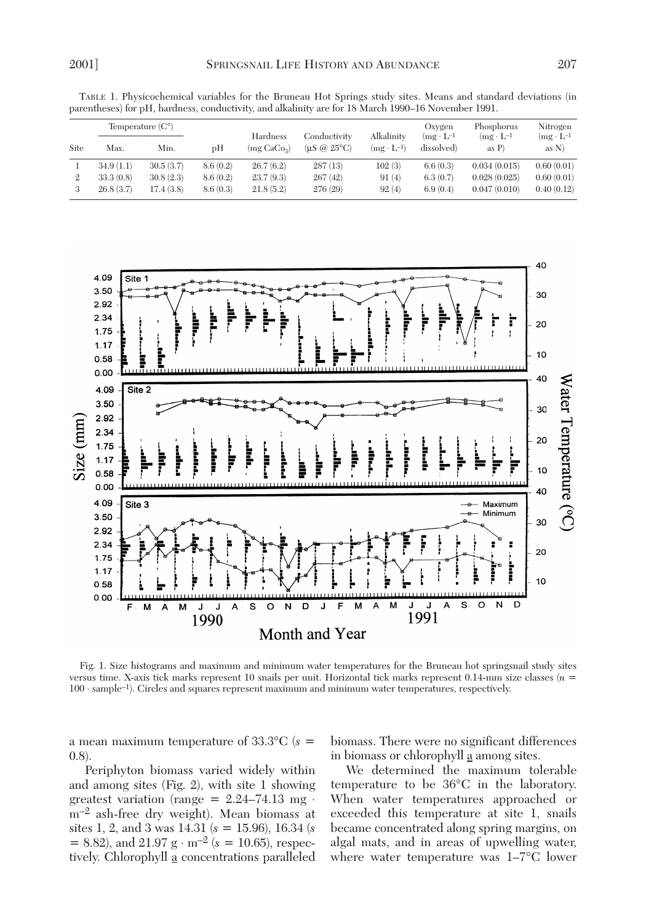|      |           | Temperature $(C^{\circ})$ |          |                                     |                                             |                                   | Oxygen                            | Phosphorus                      | Nitrogen                        |
|------|-----------|---------------------------|----------|-------------------------------------|---------------------------------------------|-----------------------------------|-----------------------------------|---------------------------------|---------------------------------|
| Site | Max.      | Min.                      | υH       | Hardness<br>(mg CaCo <sub>3</sub> ) | Conductivity<br>$($ uS @ 25 $\degree$ C $)$ | Alkalinity<br>$(mg \cdot L^{-1})$ | $(mg \cdot L^{-1})$<br>dissolved) | $(mg \cdot L^{-1})$<br>as $P$ ) | $(mg \cdot L^{-1})$<br>as $N$ ) |
|      | 34.9(1.1) | 30.5(3.7)                 | 8.6(0.2) | 26.7(6.2)                           | 287(13)                                     | 102(3)                            | 6.6(0.3)                          | 0.034(0.015)                    | 0.60(0.01)                      |
| 2    | 33.3(0.8) | 30.8(2.3)                 | 8.6(0.2) | 23.7(9.3)                           | 267(42)                                     | 91(4)                             | 6.3(0.7)                          | 0.028(0.025)                    | 0.60(0.01)                      |
|      | 26.8(3.7) | 17.4(3.8)                 | 8.6(0.3) | 21.8(5.2)                           | 276 (29)                                    | 92(4)                             | 6.9(0.4)                          | 0.047(0.010)                    | 0.40(0.12)                      |

TABLE 1. Physicochemical variables for the Bruneau Hot Springs study sites. Means and standard deviations (in parentheses) for pH, hardness, conductivity, and alkalinity are for 18 March 1990–16 November 1991.



Fig. 1. Size histograms and maximum and minimum water temperatures for the Bruneau hot springsnail study sites versus time. X-axis tick marks represent 10 snails per unit. Horizontal tick marks represent 0.14-mm size classes (*n* = 100 ⋅ sample–1). Circles and squares represent maximum and minimum water temperatures, respectively.

a mean maximum temperature of 33.3°C (*s* = 0.8).

Periphyton biomass varied widely within and among sites (Fig. 2), with site 1 showing greatest variation (range =  $2.24-74.13$  mg ⋅ m–2 ash-free dry weight). Mean biomass at sites 1, 2, and 3 was 14.31 (*s* = 15.96), 16.34 (*s* = 8.82), and 21.97 g ⋅ m–2 (*s* = 10.65), respectively. Chlorophyll a concentrations paralleled biomass. There were no significant differences in biomass or chlorophyll a among sites.

We determined the maximum tolerable temperature to be 36°C in the laboratory. When water temperatures approached or exceeded this temperature at site 1, snails became concentrated along spring margins, on algal mats, and in areas of upwelling water, where water temperature was 1–7°C lower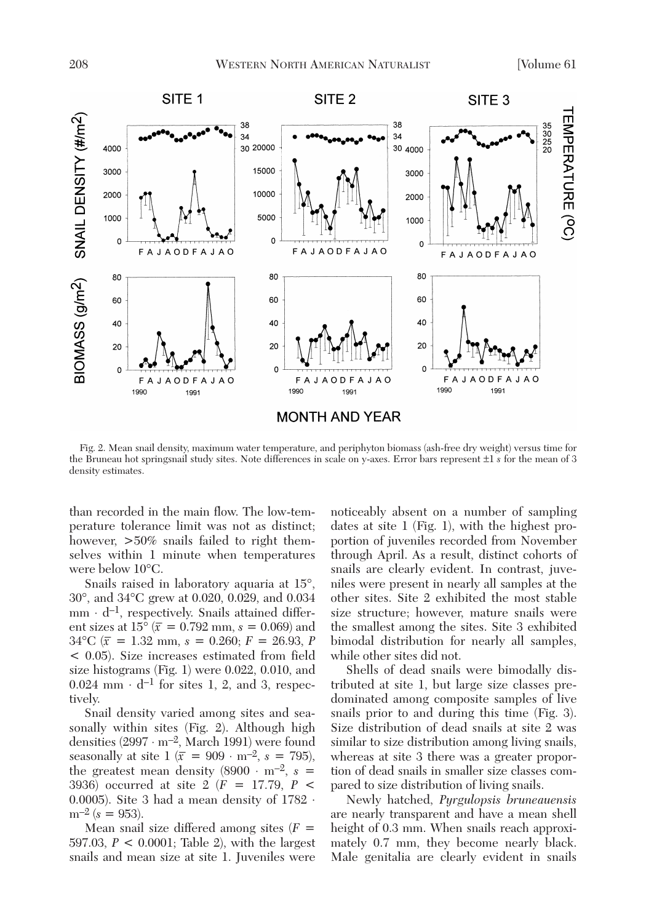

Fig. 2. Mean snail density, maximum water temperature, and periphyton biomass (ash-free dry weight) versus time for the Bruneau hot springsnail study sites. Note differences in scale on y-axes. Error bars represent ±1 *s* for the mean of 3 density estimates.

than recorded in the main flow. The low-temperature tolerance limit was not as distinct; however,  $>50\%$  snails failed to right themselves within 1 minute when temperatures were below 10°C.

Snails raised in laboratory aquaria at 15°, 30°, and 34°C grew at 0.020, 0.029, and 0.034  $mm \cdot d^{-1}$ , respectively. Snails attained different sizes at  $15^{\circ}$   $(\bar{x} = 0.792 \text{ mm}, s = 0.069)$  and  $34^{\circ}$ C ( $\bar{x}$  = 1.32 mm, *s* = 0.260; *F* = 26.93, *P* < 0.05). Size increases estimated from field size histograms (Fig. 1) were 0.022, 0.010, and  $0.024$  mm  $\cdot$  d<sup>-1</sup> for sites 1, 2, and 3, respectively.

Snail density varied among sites and seasonally within sites (Fig. 2). Although high densities  $(2997 \cdot m^{-2}$ , March 1991) were found seasonally at site  $1 (\bar{x} = 909 \cdot m^{-2}, s = 795)$ , the greatest mean density  $(8900 \cdot m^{-2}, s =$ 3936) occurred at site 2 (*F* = 17.79, *P* < 0.0005). Site 3 had a mean density of  $1782 \cdot$  $m^{-2}$  ( $s = 953$ ).

Mean snail size differed among sites (*F* = 597.03, *P* < 0.0001; Table 2), with the largest snails and mean size at site 1. Juveniles were noticeably absent on a number of sampling dates at site 1 (Fig. 1), with the highest proportion of juveniles recorded from November through April. As a result, distinct cohorts of snails are clearly evident. In contrast, juveniles were present in nearly all samples at the other sites. Site 2 exhibited the most stable size structure; however, mature snails were the smallest among the sites. Site 3 exhibited bimodal distribution for nearly all samples, while other sites did not.

Shells of dead snails were bimodally distributed at site 1, but large size classes predominated among composite samples of live snails prior to and during this time (Fig. 3). Size distribution of dead snails at site 2 was similar to size distribution among living snails, whereas at site 3 there was a greater proportion of dead snails in smaller size classes compared to size distribution of living snails.

Newly hatched, *Pyrgulopsis bruneauensis* are nearly transparent and have a mean shell height of 0.3 mm. When snails reach approximately 0.7 mm, they become nearly black. Male genitalia are clearly evident in snails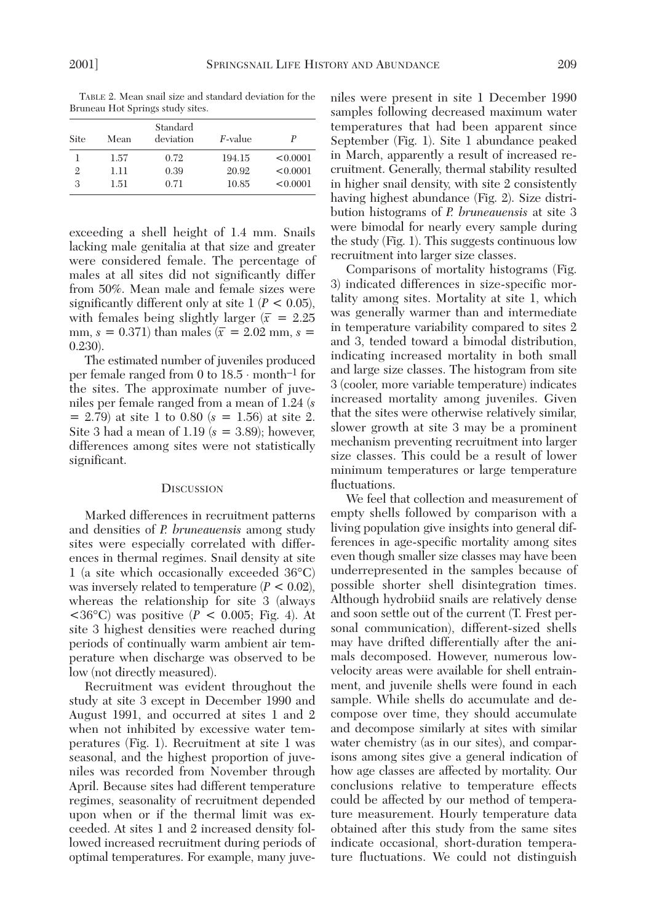TABLE 2. Mean snail size and standard deviation for the Bruneau Hot Springs study sites. Standard

| Site           | Mean | Standard<br>deviation | <i>F</i> -value | P        |
|----------------|------|-----------------------|-----------------|----------|
|                | 1.57 | 0.72                  | 194.15          | < 0.0001 |
| $\overline{2}$ | 1.11 | 0.39                  | 20.92           | < 0.0001 |
| 3              | 1.51 | 0.71                  | 10.85           | < 0.0001 |

exceeding a shell height of 1.4 mm. Snails lacking male genitalia at that size and greater were considered female. The percentage of males at all sites did not significantly differ from 50%. Mean male and female sizes were significantly different only at site  $1 (P < 0.05)$ , with females being slightly larger  $(\bar{x} = 2.25)$ mm,  $s = 0.371$ ) than males ( $\bar{x} = 2.02$  mm,  $s =$ 0.230).

The estimated number of juveniles produced per female ranged from 0 to 18.5 ⋅ month–1 for the sites. The approximate number of juveniles per female ranged from a mean of 1.24 (*s*  $= 2.79$ ) at site 1 to 0.80 ( $s = 1.56$ ) at site 2. Site 3 had a mean of 1.19 (*s* = 3.89); however, differences among sites were not statistically significant.

### **DISCUSSION**

Marked differences in recruitment patterns and densities of *P. bruneauensis* among study sites were especially correlated with differences in thermal regimes. Snail density at site 1 (a site which occasionally exceeded 36°C) was inversely related to temperature (*P* < 0.02), whereas the relationship for site 3 (always  $<$ 36°C) was positive (*P* < 0.005; Fig. 4). At site 3 highest densities were reached during periods of continually warm ambient air temperature when discharge was observed to be low (not directly measured).

Recruitment was evident throughout the study at site 3 except in December 1990 and August 1991, and occurred at sites 1 and 2 when not inhibited by excessive water temperatures (Fig. 1). Recruitment at site 1 was seasonal, and the highest proportion of juveniles was recorded from November through April. Because sites had different temperature regimes, seasonality of recruitment depended upon when or if the thermal limit was exceeded. At sites 1 and 2 increased density followed increased recruitment during periods of optimal temperatures. For example, many juve-

niles were present in site 1 December 1990 samples following decreased maximum water temperatures that had been apparent since September (Fig. 1). Site 1 abundance peaked in March, apparently a result of increased recruitment. Generally, thermal stability resulted in higher snail density, with site 2 consistently having highest abundance (Fig. 2). Size distribution histograms of *P. bruneauensis* at site 3 were bimodal for nearly every sample during the study (Fig. 1). This suggests continuous low recruitment into larger size classes.

Comparisons of mortality histograms (Fig. 3) indicated differences in size-specific mortality among sites. Mortality at site 1, which was generally warmer than and intermediate in temperature variability compared to sites 2 and 3, tended toward a bimodal distribution, indicating increased mortality in both small and large size classes. The histogram from site 3 (cooler, more variable temperature) indicates increased mortality among juveniles. Given that the sites were otherwise relatively similar, slower growth at site 3 may be a prominent mechanism preventing recruitment into larger size classes. This could be a result of lower minimum temperatures or large temperature fluctuations.

We feel that collection and measurement of empty shells followed by comparison with a living population give insights into general differences in age-specific mortality among sites even though smaller size classes may have been underrepresented in the samples because of possible shorter shell disintegration times. Although hydrobiid snails are relatively dense and soon settle out of the current (T. Frest personal communication), different-sized shells may have drifted differentially after the animals decomposed. However, numerous lowvelocity areas were available for shell entrainment, and juvenile shells were found in each sample. While shells do accumulate and decompose over time, they should accumulate and decompose similarly at sites with similar water chemistry (as in our sites), and comparisons among sites give a general indication of how age classes are affected by mortality. Our conclusions relative to temperature effects could be affected by our method of temperature measurement. Hourly temperature data obtained after this study from the same sites indicate occasional, short-duration temperature fluctuations. We could not distinguish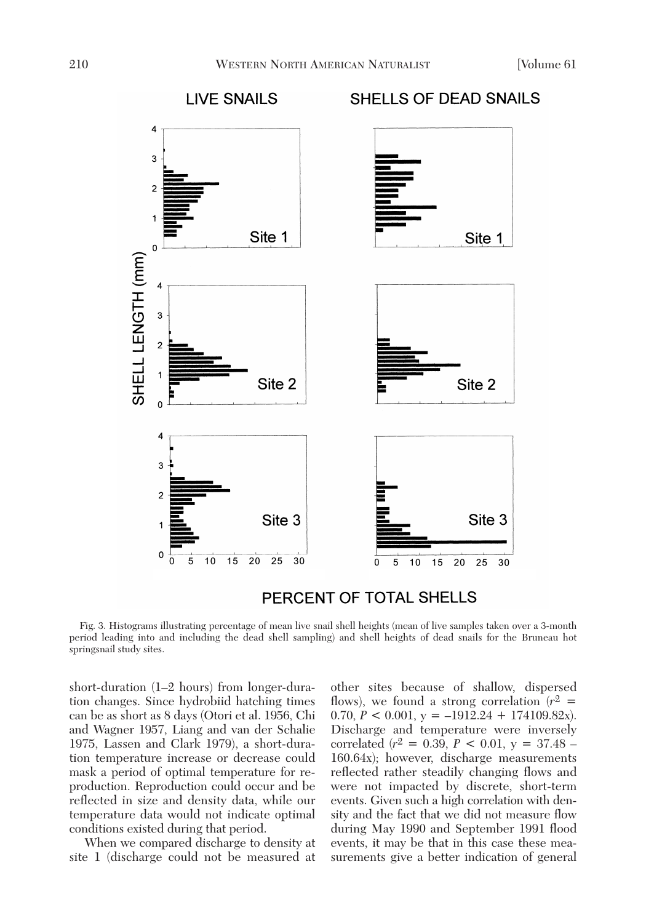

PERCENT OF TOTAL SHELLS

Fig. 3. Histograms illustrating percentage of mean live snail shell heights (mean of live samples taken over a 3-month period leading into and including the dead shell sampling) and shell heights of dead snails for the Bruneau hot springsnail study sites.

short-duration (1–2 hours) from longer-duration changes. Since hydrobiid hatching times can be as short as 8 days (Otori et al. 1956, Chi and Wagner 1957, Liang and van der Schalie 1975, Lassen and Clark 1979), a short-duration temperature increase or decrease could mask a period of optimal temperature for reproduction. Reproduction could occur and be reflected in size and density data, while our temperature data would not indicate optimal conditions existed during that period.

When we compared discharge to density at site 1 (discharge could not be measured at

other sites because of shallow, dispersed flows), we found a strong correlation  $(r^2 =$ 0.70,  $P < 0.001$ ,  $y = -1912.24 + 174109.82x$ . Discharge and temperature were inversely correlated (*r*2 = 0.39, *P* < 0.01, y = 37.48 – 160.64x); however, discharge measurements reflected rather steadily changing flows and were not impacted by discrete, short-term events. Given such a high correlation with density and the fact that we did not measure flow during May 1990 and September 1991 flood events, it may be that in this case these measurements give a better indication of general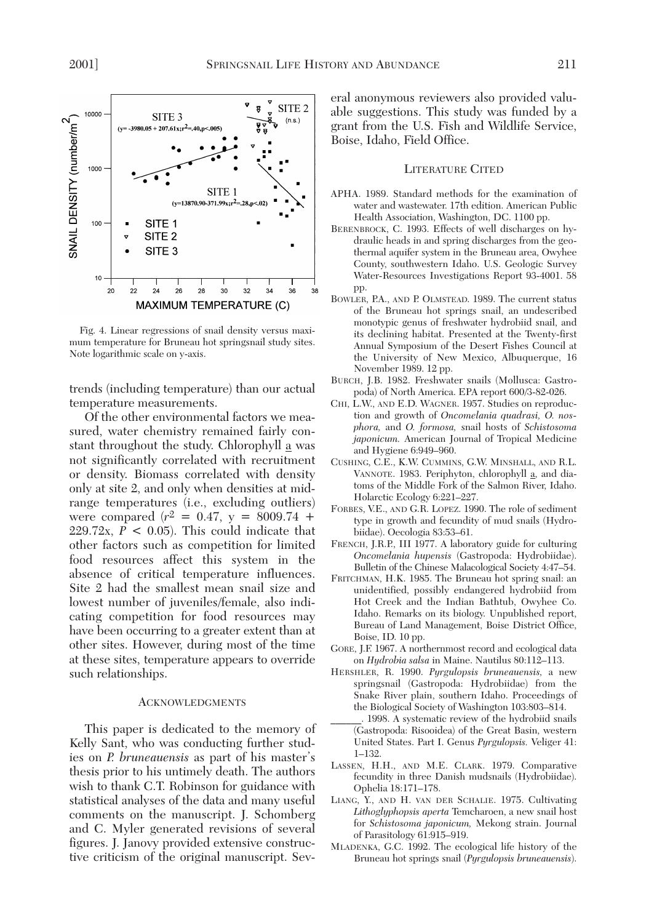

Fig. 4. Linear regressions of snail density versus maximum temperature for Bruneau hot springsnail study sites. Note logarithmic scale on y-axis.

trends (including temperature) than our actual temperature measurements.

Of the other environmental factors we measured, water chemistry remained fairly constant throughout the study. Chlorophyll a was not significantly correlated with recruitment or density. Biomass correlated with density only at site 2, and only when densities at midrange temperatures (i.e., excluding outliers) were compared  $(r^2 = 0.47, y = 8009.74 +$ 229.72x,  $P < 0.05$ ). This could indicate that other factors such as competition for limited food resources affect this system in the absence of critical temperature influences. Site 2 had the smallest mean snail size and lowest number of juveniles/female, also indicating competition for food resources may have been occurring to a greater extent than at other sites. However, during most of the time at these sites, temperature appears to override such relationships.

#### **ACKNOWLEDGMENTS**

This paper is dedicated to the memory of Kelly Sant, who was conducting further studies on *P. bruneauensis* as part of his master's thesis prior to his untimely death. The authors wish to thank C.T. Robinson for guidance with statistical analyses of the data and many useful comments on the manuscript. J. Schomberg and C. Myler generated revisions of several figures. J. Janovy provided extensive constructive criticism of the original manuscript. Several anonymous reviewers also provided valuable suggestions. This study was funded by a grant from the U.S. Fish and Wildlife Service, Boise, Idaho, Field Office.

#### LITERATURE CITED

- APHA. 1989. Standard methods for the examination of water and wastewater. 17th edition. American Public Health Association, Washington, DC. 1100 pp.
- BERENBROCK, C. 1993. Effects of well discharges on hydraulic heads in and spring discharges from the geothermal aquifer system in the Bruneau area, Owyhee County, southwestern Idaho. U.S. Geologic Survey Water-Resources Investigations Report 93-4001. 58 pp.
- BOWLER, P.A., AND P. OLMSTEAD. 1989. The current status of the Bruneau hot springs snail, an undescribed monotypic genus of freshwater hydrobiid snail, and its declining habitat. Presented at the Twenty-first Annual Symposium of the Desert Fishes Council at the University of New Mexico, Albuquerque, 16 November 1989. 12 pp.
- BURCH, J.B. 1982. Freshwater snails (Mollusca: Gastropoda) of North America. EPA report 600/3-82-026.
- CHI, L.W., AND E.D. WAGNER. 1957. Studies on reproduction and growth of *Oncomelania quadrasi, O. nosphora,* and *O. formosa,* snail hosts of *Schistosoma japonicum.* American Journal of Tropical Medicine and Hygiene 6:949–960.
- CUSHING, C.E., K.W. CUMMINS, G.W. MINSHALL, AND R.L. VANNOTE. 1983. Periphyton, chlorophyll a, and diatoms of the Middle Fork of the Salmon River, Idaho. Holarctic Ecology 6:221–227.
- FORBES, V.E., AND G.R. LOPEZ. 1990. The role of sediment type in growth and fecundity of mud snails (Hydrobiidae). Oecologia 83:53–61.
- FRENCH, J.R.P., III 1977. A laboratory guide for culturing *Oncomelania hupensis* (Gastropoda: Hydrobiidae). Bulletin of the Chinese Malacological Society 4:47–54.
- FRITCHMAN, H.K. 1985. The Bruneau hot spring snail: an unidentified, possibly endangered hydrobiid from Hot Creek and the Indian Bathtub, Owyhee Co. Idaho. Remarks on its biology. Unpublished report, Bureau of Land Management, Boise District Office, Boise, ID. 10 pp.
- GORE, J.F. 1967. A northernmost record and ecological data on *Hydrobia salsa* in Maine. Nautilus 80:112–113.
- HERSHLER, R. 1990. *Pyrgulopsis bruneauensis,* a new springsnail (Gastropoda: Hydrobiidae) from the Snake River plain, southern Idaho. Proceedings of the Biological Society of Washington 103:803–814.
- \_\_\_\_\_\_. 1998. A systematic review of the hydrobiid snails (Gastropoda: Risooidea) of the Great Basin, western United States. Part I. Genus *Pyrgulopsis.* Veliger 41: 1–132.
- LASSEN, H.H., AND M.E. CLARK. 1979. Comparative fecundity in three Danish mudsnails (Hydrobiidae). Ophelia 18:171–178.
- LIANG, Y., AND H. VAN DER SCHALIE. 1975. Cultivating *Lithoglyphopsis aperta* Temcharoen, a new snail host for *Schistosoma japonicum,* Mekong strain. Journal of Parasitology 61:915–919.
- MLADENKA, G.C. 1992. The ecological life history of the Bruneau hot springs snail (*Pyrgulopsis bruneauensis*).